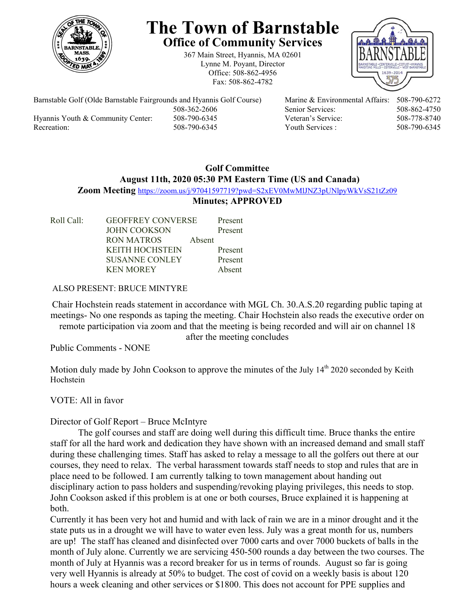

# **The Town of Barnstable Office of Community Services**

367 Main Street, Hyannis, MA 02601 Lynne M. Poyant, Director Office: 508-862-4956 Fax: 508-862-4782



Barnstable Golf (Olde Barnstable Fairgrounds and Hyannis Golf Course) Marine & Environmental Affairs: 508-790-6272 Hyannis Youth & Community Center: 508-790-6345 Veteran's Service: 508-778-8740 Recreation: 508-790-6345 Youth Services : 508-790-6345 S08-790-6345

508-362-2606 Senior Services: 508-862-4750

## **Golf Committee August 11th, 2020 05:30 PM Eastern Time (US and Canada) Zoom Meeting** https://zoom.us/j/97041597719?pwd=S2xEV0MwMlJNZ3pUNlpyWkVsS21tZz09 **Minutes; APPROVED**

Roll Call: GEOFFREY CONVERSE Present JOHN COOKSON Present RON MATROS Absent KEITH HOCHSTEIN Present SUSANNE CONLEY Present KEN MOREY Absent

ALSO PRESENT: BRUCE MINTYRE

Chair Hochstein reads statement in accordance with MGL Ch. 30.A.S.20 regarding public taping at meetings- No one responds as taping the meeting. Chair Hochstein also reads the executive order on remote participation via zoom and that the meeting is being recorded and will air on channel 18

after the meeting concludes

Public Comments - NONE

Motion duly made by John Cookson to approve the minutes of the July  $14<sup>th</sup>$  2020 seconded by Keith Hochstein

VOTE: All in favor

# Director of Golf Report – Bruce McIntyre

 The golf courses and staff are doing well during this difficult time. Bruce thanks the entire staff for all the hard work and dedication they have shown with an increased demand and small staff during these challenging times. Staff has asked to relay a message to all the golfers out there at our courses, they need to relax. The verbal harassment towards staff needs to stop and rules that are in place need to be followed. I am currently talking to town management about handing out disciplinary action to pass holders and suspending/revoking playing privileges, this needs to stop. John Cookson asked if this problem is at one or both courses, Bruce explained it is happening at both.

Currently it has been very hot and humid and with lack of rain we are in a minor drought and it the state puts us in a drought we will have to water even less. July was a great month for us, numbers are up! The staff has cleaned and disinfected over 7000 carts and over 7000 buckets of balls in the month of July alone. Currently we are servicing 450-500 rounds a day between the two courses. The month of July at Hyannis was a record breaker for us in terms of rounds. August so far is going very well Hyannis is already at 50% to budget. The cost of covid on a weekly basis is about 120 hours a week cleaning and other services or \$1800. This does not account for PPE supplies and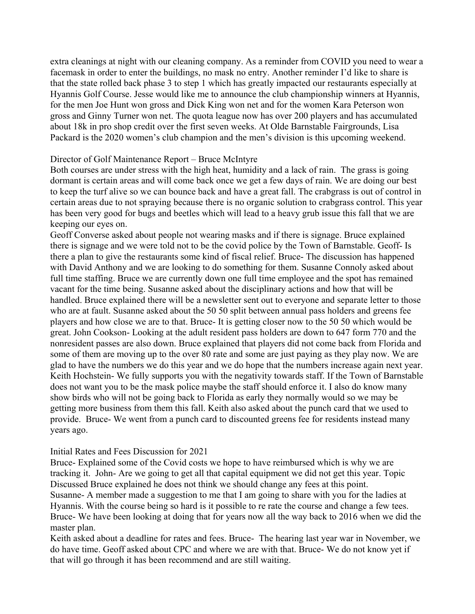extra cleanings at night with our cleaning company. As a reminder from COVID you need to wear a facemask in order to enter the buildings, no mask no entry. Another reminder I'd like to share is that the state rolled back phase 3 to step 1 which has greatly impacted our restaurants especially at Hyannis Golf Course. Jesse would like me to announce the club championship winners at Hyannis, for the men Joe Hunt won gross and Dick King won net and for the women Kara Peterson won gross and Ginny Turner won net. The quota league now has over 200 players and has accumulated about 18k in pro shop credit over the first seven weeks. At Olde Barnstable Fairgrounds, Lisa Packard is the 2020 women's club champion and the men's division is this upcoming weekend.

#### Director of Golf Maintenance Report – Bruce McIntyre

Both courses are under stress with the high heat, humidity and a lack of rain. The grass is going dormant is certain areas and will come back once we get a few days of rain. We are doing our best to keep the turf alive so we can bounce back and have a great fall. The crabgrass is out of control in certain areas due to not spraying because there is no organic solution to crabgrass control. This year has been very good for bugs and beetles which will lead to a heavy grub issue this fall that we are keeping our eyes on.

Geoff Converse asked about people not wearing masks and if there is signage. Bruce explained there is signage and we were told not to be the covid police by the Town of Barnstable. Geoff- Is there a plan to give the restaurants some kind of fiscal relief. Bruce- The discussion has happened with David Anthony and we are looking to do something for them. Susanne Connoly asked about full time staffing. Bruce we are currently down one full time employee and the spot has remained vacant for the time being. Susanne asked about the disciplinary actions and how that will be handled. Bruce explained there will be a newsletter sent out to everyone and separate letter to those who are at fault. Susanne asked about the 50 50 split between annual pass holders and greens fee players and how close we are to that. Bruce- It is getting closer now to the 50 50 which would be great. John Cookson- Looking at the adult resident pass holders are down to 647 form 770 and the nonresident passes are also down. Bruce explained that players did not come back from Florida and some of them are moving up to the over 80 rate and some are just paying as they play now. We are glad to have the numbers we do this year and we do hope that the numbers increase again next year. Keith Hochstein- We fully supports you with the negativity towards staff. If the Town of Barnstable does not want you to be the mask police maybe the staff should enforce it. I also do know many show birds who will not be going back to Florida as early they normally would so we may be getting more business from them this fall. Keith also asked about the punch card that we used to provide. Bruce- We went from a punch card to discounted greens fee for residents instead many years ago.

#### Initial Rates and Fees Discussion for 2021

Bruce- Explained some of the Covid costs we hope to have reimbursed which is why we are tracking it. John- Are we going to get all that capital equipment we did not get this year. Topic Discussed Bruce explained he does not think we should change any fees at this point. Susanne- A member made a suggestion to me that I am going to share with you for the ladies at Hyannis. With the course being so hard is it possible to re rate the course and change a few tees. Bruce- We have been looking at doing that for years now all the way back to 2016 when we did the master plan.

Keith asked about a deadline for rates and fees. Bruce- The hearing last year war in November, we do have time. Geoff asked about CPC and where we are with that. Bruce- We do not know yet if that will go through it has been recommend and are still waiting.